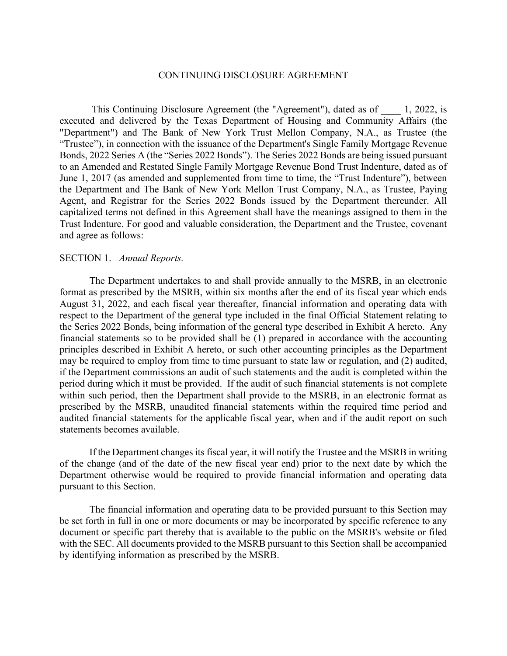#### CONTINUING DISCLOSURE AGREEMENT

This Continuing Disclosure Agreement (the "Agreement"), dated as of  $\qquad$  1, 2022, is executed and delivered by the Texas Department of Housing and Community Affairs (the "Department") and The Bank of New York Trust Mellon Company, N.A., as Trustee (the "Trustee"), in connection with the issuance of the Department's Single Family Mortgage Revenue Bonds, 2022 Series A (the "Series 2022 Bonds"). The Series 2022 Bonds are being issued pursuant to an Amended and Restated Single Family Mortgage Revenue Bond Trust Indenture, dated as of June 1, 2017 (as amended and supplemented from time to time, the "Trust Indenture"), between the Department and The Bank of New York Mellon Trust Company, N.A., as Trustee, Paying Agent, and Registrar for the Series 2022 Bonds issued by the Department thereunder. All capitalized terms not defined in this Agreement shall have the meanings assigned to them in the Trust Indenture. For good and valuable consideration, the Department and the Trustee, covenant and agree as follows:

#### SECTION 1. *Annual Reports.*

The Department undertakes to and shall provide annually to the MSRB, in an electronic format as prescribed by the MSRB, within six months after the end of its fiscal year which ends August 31, 2022, and each fiscal year thereafter, financial information and operating data with respect to the Department of the general type included in the final Official Statement relating to the Series 2022 Bonds, being information of the general type described in Exhibit A hereto. Any financial statements so to be provided shall be (1) prepared in accordance with the accounting principles described in Exhibit A hereto, or such other accounting principles as the Department may be required to employ from time to time pursuant to state law or regulation, and (2) audited, if the Department commissions an audit of such statements and the audit is completed within the period during which it must be provided. If the audit of such financial statements is not complete within such period, then the Department shall provide to the MSRB, in an electronic format as prescribed by the MSRB, unaudited financial statements within the required time period and audited financial statements for the applicable fiscal year, when and if the audit report on such statements becomes available.

If the Department changes its fiscal year, it will notify the Trustee and the MSRB in writing of the change (and of the date of the new fiscal year end) prior to the next date by which the Department otherwise would be required to provide financial information and operating data pursuant to this Section.

The financial information and operating data to be provided pursuant to this Section may be set forth in full in one or more documents or may be incorporated by specific reference to any document or specific part thereby that is available to the public on the MSRB's website or filed with the SEC. All documents provided to the MSRB pursuant to this Section shall be accompanied by identifying information as prescribed by the MSRB.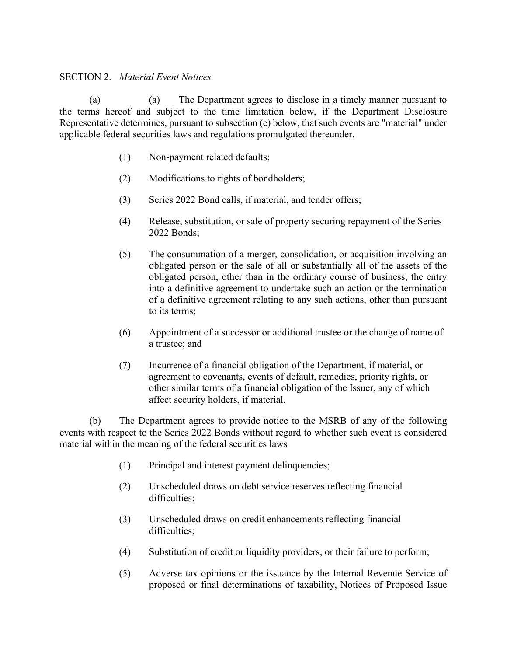### SECTION 2. *Material Event Notices.*

(a) (a) The Department agrees to disclose in a timely manner pursuant to the terms hereof and subject to the time limitation below, if the Department Disclosure Representative determines, pursuant to subsection (c) below, that such events are "material" under applicable federal securities laws and regulations promulgated thereunder.

- (1) Non-payment related defaults;
- (2) Modifications to rights of bondholders;
- (3) Series 2022 Bond calls, if material, and tender offers;
- (4) Release, substitution, or sale of property securing repayment of the Series 2022 Bonds;
- (5) The consummation of a merger, consolidation, or acquisition involving an obligated person or the sale of all or substantially all of the assets of the obligated person, other than in the ordinary course of business, the entry into a definitive agreement to undertake such an action or the termination of a definitive agreement relating to any such actions, other than pursuant to its terms;
- (6) Appointment of a successor or additional trustee or the change of name of a trustee; and
- (7) Incurrence of a financial obligation of the Department, if material, or agreement to covenants, events of default, remedies, priority rights, or other similar terms of a financial obligation of the Issuer, any of which affect security holders, if material.

(b) The Department agrees to provide notice to the MSRB of any of the following events with respect to the Series 2022 Bonds without regard to whether such event is considered material within the meaning of the federal securities laws

- (1) Principal and interest payment delinquencies;
- (2) Unscheduled draws on debt service reserves reflecting financial difficulties:
- (3) Unscheduled draws on credit enhancements reflecting financial difficulties;
- (4) Substitution of credit or liquidity providers, or their failure to perform;
- (5) Adverse tax opinions or the issuance by the Internal Revenue Service of proposed or final determinations of taxability, Notices of Proposed Issue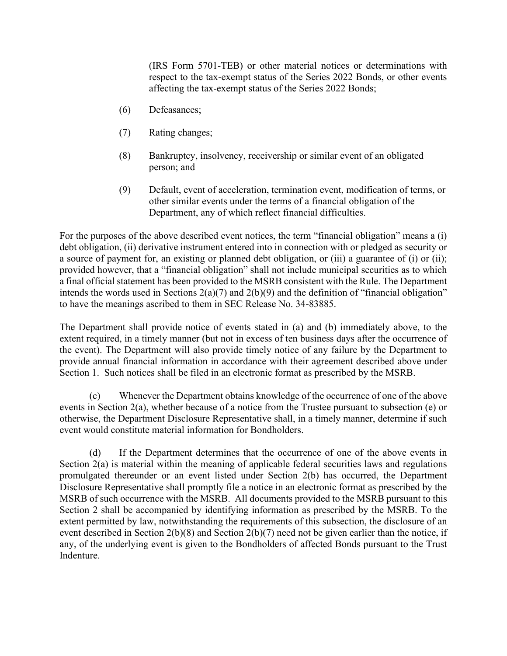(IRS Form 5701-TEB) or other material notices or determinations with respect to the tax-exempt status of the Series 2022 Bonds, or other events affecting the tax-exempt status of the Series 2022 Bonds;

- (6) Defeasances;
- (7) Rating changes;
- (8) Bankruptcy, insolvency, receivership or similar event of an obligated person; and
- (9) Default, event of acceleration, termination event, modification of terms, or other similar events under the terms of a financial obligation of the Department, any of which reflect financial difficulties.

For the purposes of the above described event notices, the term "financial obligation" means a (i) debt obligation, (ii) derivative instrument entered into in connection with or pledged as security or a source of payment for, an existing or planned debt obligation, or (iii) a guarantee of (i) or (ii); provided however, that a "financial obligation" shall not include municipal securities as to which a final official statement has been provided to the MSRB consistent with the Rule. The Department intends the words used in Sections  $2(a)(7)$  and  $2(b)(9)$  and the definition of "financial obligation" to have the meanings ascribed to them in SEC Release No. 34-83885.

The Department shall provide notice of events stated in (a) and (b) immediately above, to the extent required, in a timely manner (but not in excess of ten business days after the occurrence of the event). The Department will also provide timely notice of any failure by the Department to provide annual financial information in accordance with their agreement described above under Section 1. Such notices shall be filed in an electronic format as prescribed by the MSRB.

(c) Whenever the Department obtains knowledge of the occurrence of one of the above events in Section 2(a), whether because of a notice from the Trustee pursuant to subsection (e) or otherwise, the Department Disclosure Representative shall, in a timely manner, determine if such event would constitute material information for Bondholders.

(d) If the Department determines that the occurrence of one of the above events in Section 2(a) is material within the meaning of applicable federal securities laws and regulations promulgated thereunder or an event listed under Section 2(b) has occurred, the Department Disclosure Representative shall promptly file a notice in an electronic format as prescribed by the MSRB of such occurrence with the MSRB. All documents provided to the MSRB pursuant to this Section 2 shall be accompanied by identifying information as prescribed by the MSRB. To the extent permitted by law, notwithstanding the requirements of this subsection, the disclosure of an event described in Section 2(b)(8) and Section 2(b)(7) need not be given earlier than the notice, if any, of the underlying event is given to the Bondholders of affected Bonds pursuant to the Trust Indenture.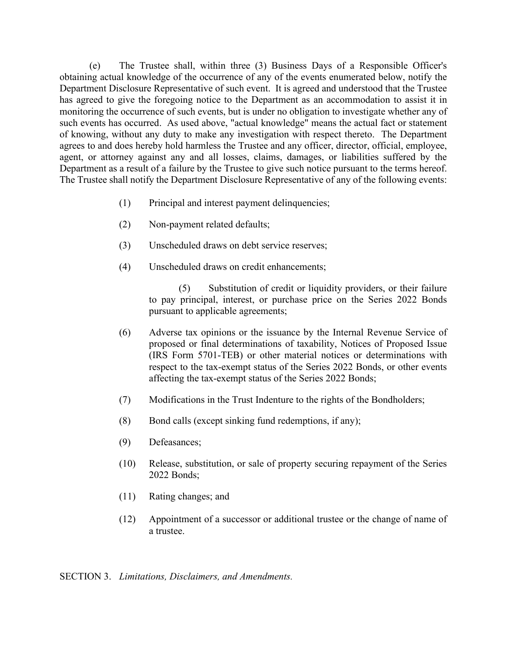(e) The Trustee shall, within three (3) Business Days of a Responsible Officer's obtaining actual knowledge of the occurrence of any of the events enumerated below, notify the Department Disclosure Representative of such event. It is agreed and understood that the Trustee has agreed to give the foregoing notice to the Department as an accommodation to assist it in monitoring the occurrence of such events, but is under no obligation to investigate whether any of such events has occurred. As used above, "actual knowledge" means the actual fact or statement of knowing, without any duty to make any investigation with respect thereto. The Department agrees to and does hereby hold harmless the Trustee and any officer, director, official, employee, agent, or attorney against any and all losses, claims, damages, or liabilities suffered by the Department as a result of a failure by the Trustee to give such notice pursuant to the terms hereof. The Trustee shall notify the Department Disclosure Representative of any of the following events:

- (1) Principal and interest payment delinquencies;
- (2) Non-payment related defaults;
- (3) Unscheduled draws on debt service reserves;
- (4) Unscheduled draws on credit enhancements;

(5) Substitution of credit or liquidity providers, or their failure to pay principal, interest, or purchase price on the Series 2022 Bonds pursuant to applicable agreements;

- (6) Adverse tax opinions or the issuance by the Internal Revenue Service of proposed or final determinations of taxability, Notices of Proposed Issue (IRS Form 5701-TEB) or other material notices or determinations with respect to the tax-exempt status of the Series 2022 Bonds, or other events affecting the tax-exempt status of the Series 2022 Bonds;
- (7) Modifications in the Trust Indenture to the rights of the Bondholders;
- (8) Bond calls (except sinking fund redemptions, if any);
- (9) Defeasances;
- (10) Release, substitution, or sale of property securing repayment of the Series 2022 Bonds;
- (11) Rating changes; and
- (12) Appointment of a successor or additional trustee or the change of name of a trustee.

SECTION 3. *Limitations, Disclaimers, and Amendments.*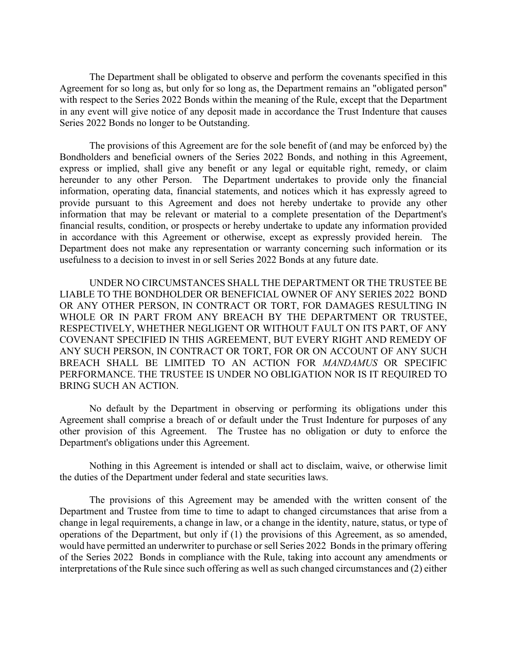The Department shall be obligated to observe and perform the covenants specified in this Agreement for so long as, but only for so long as, the Department remains an "obligated person" with respect to the Series 2022 Bonds within the meaning of the Rule, except that the Department in any event will give notice of any deposit made in accordance the Trust Indenture that causes Series 2022 Bonds no longer to be Outstanding.

The provisions of this Agreement are for the sole benefit of (and may be enforced by) the Bondholders and beneficial owners of the Series 2022 Bonds, and nothing in this Agreement, express or implied, shall give any benefit or any legal or equitable right, remedy, or claim hereunder to any other Person. The Department undertakes to provide only the financial information, operating data, financial statements, and notices which it has expressly agreed to provide pursuant to this Agreement and does not hereby undertake to provide any other information that may be relevant or material to a complete presentation of the Department's financial results, condition, or prospects or hereby undertake to update any information provided in accordance with this Agreement or otherwise, except as expressly provided herein. The Department does not make any representation or warranty concerning such information or its usefulness to a decision to invest in or sell Series 2022 Bonds at any future date.

UNDER NO CIRCUMSTANCES SHALL THE DEPARTMENT OR THE TRUSTEE BE LIABLE TO THE BONDHOLDER OR BENEFICIAL OWNER OF ANY SERIES 2022 BOND OR ANY OTHER PERSON, IN CONTRACT OR TORT, FOR DAMAGES RESULTING IN WHOLE OR IN PART FROM ANY BREACH BY THE DEPARTMENT OR TRUSTEE, RESPECTIVELY, WHETHER NEGLIGENT OR WITHOUT FAULT ON ITS PART, OF ANY COVENANT SPECIFIED IN THIS AGREEMENT, BUT EVERY RIGHT AND REMEDY OF ANY SUCH PERSON, IN CONTRACT OR TORT, FOR OR ON ACCOUNT OF ANY SUCH BREACH SHALL BE LIMITED TO AN ACTION FOR *MANDAMUS* OR SPECIFIC PERFORMANCE. THE TRUSTEE IS UNDER NO OBLIGATION NOR IS IT REQUIRED TO BRING SUCH AN ACTION.

No default by the Department in observing or performing its obligations under this Agreement shall comprise a breach of or default under the Trust Indenture for purposes of any other provision of this Agreement. The Trustee has no obligation or duty to enforce the Department's obligations under this Agreement.

Nothing in this Agreement is intended or shall act to disclaim, waive, or otherwise limit the duties of the Department under federal and state securities laws.

The provisions of this Agreement may be amended with the written consent of the Department and Trustee from time to time to adapt to changed circumstances that arise from a change in legal requirements, a change in law, or a change in the identity, nature, status, or type of operations of the Department, but only if (1) the provisions of this Agreement, as so amended, would have permitted an underwriter to purchase or sell Series 2022 Bonds in the primary offering of the Series 2022 Bonds in compliance with the Rule, taking into account any amendments or interpretations of the Rule since such offering as well as such changed circumstances and (2) either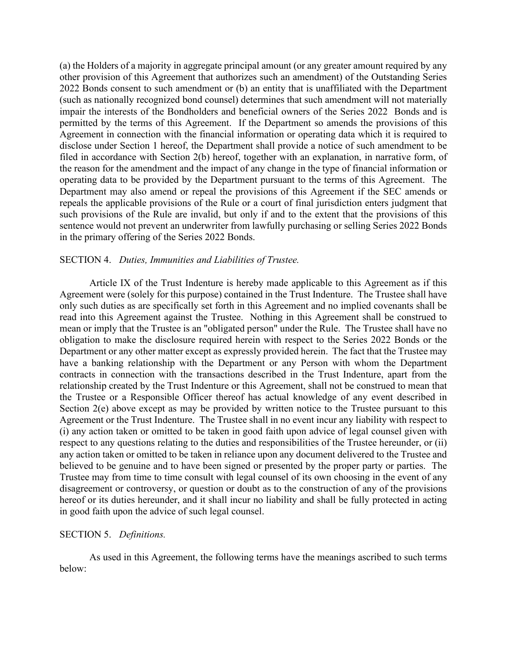(a) the Holders of a majority in aggregate principal amount (or any greater amount required by any other provision of this Agreement that authorizes such an amendment) of the Outstanding Series 2022 Bonds consent to such amendment or (b) an entity that is unaffiliated with the Department (such as nationally recognized bond counsel) determines that such amendment will not materially impair the interests of the Bondholders and beneficial owners of the Series 2022 Bonds and is permitted by the terms of this Agreement. If the Department so amends the provisions of this Agreement in connection with the financial information or operating data which it is required to disclose under Section 1 hereof, the Department shall provide a notice of such amendment to be filed in accordance with Section 2(b) hereof, together with an explanation, in narrative form, of the reason for the amendment and the impact of any change in the type of financial information or operating data to be provided by the Department pursuant to the terms of this Agreement. The Department may also amend or repeal the provisions of this Agreement if the SEC amends or repeals the applicable provisions of the Rule or a court of final jurisdiction enters judgment that such provisions of the Rule are invalid, but only if and to the extent that the provisions of this sentence would not prevent an underwriter from lawfully purchasing or selling Series 2022 Bonds in the primary offering of the Series 2022 Bonds.

#### SECTION 4. *Duties, Immunities and Liabilities of Trustee.*

Article IX of the Trust Indenture is hereby made applicable to this Agreement as if this Agreement were (solely for this purpose) contained in the Trust Indenture. The Trustee shall have only such duties as are specifically set forth in this Agreement and no implied covenants shall be read into this Agreement against the Trustee. Nothing in this Agreement shall be construed to mean or imply that the Trustee is an "obligated person" under the Rule. The Trustee shall have no obligation to make the disclosure required herein with respect to the Series 2022 Bonds or the Department or any other matter except as expressly provided herein. The fact that the Trustee may have a banking relationship with the Department or any Person with whom the Department contracts in connection with the transactions described in the Trust Indenture, apart from the relationship created by the Trust Indenture or this Agreement, shall not be construed to mean that the Trustee or a Responsible Officer thereof has actual knowledge of any event described in Section 2(e) above except as may be provided by written notice to the Trustee pursuant to this Agreement or the Trust Indenture. The Trustee shall in no event incur any liability with respect to (i) any action taken or omitted to be taken in good faith upon advice of legal counsel given with respect to any questions relating to the duties and responsibilities of the Trustee hereunder, or (ii) any action taken or omitted to be taken in reliance upon any document delivered to the Trustee and believed to be genuine and to have been signed or presented by the proper party or parties. The Trustee may from time to time consult with legal counsel of its own choosing in the event of any disagreement or controversy, or question or doubt as to the construction of any of the provisions hereof or its duties hereunder, and it shall incur no liability and shall be fully protected in acting in good faith upon the advice of such legal counsel.

#### SECTION 5. *Definitions.*

As used in this Agreement, the following terms have the meanings ascribed to such terms below: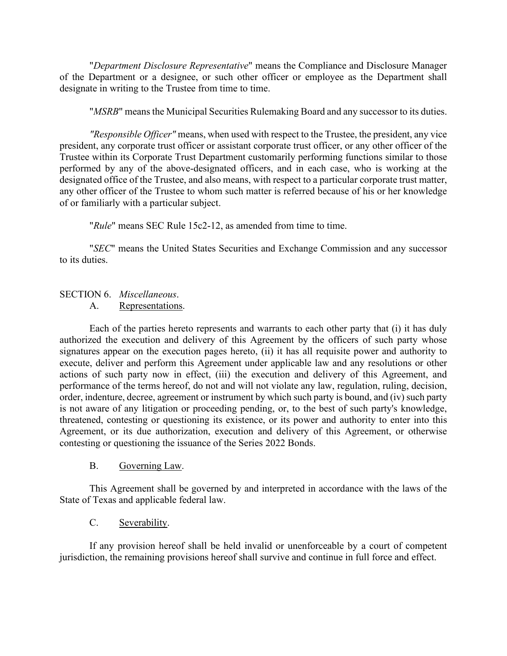"*Department Disclosure Representative*" means the Compliance and Disclosure Manager of the Department or a designee, or such other officer or employee as the Department shall designate in writing to the Trustee from time to time.

"*MSRB*" means the Municipal Securities Rulemaking Board and any successor to its duties.

*"Responsible Officer"* means, when used with respect to the Trustee, the president, any vice president, any corporate trust officer or assistant corporate trust officer, or any other officer of the Trustee within its Corporate Trust Department customarily performing functions similar to those performed by any of the above-designated officers, and in each case, who is working at the designated office of the Trustee, and also means, with respect to a particular corporate trust matter, any other officer of the Trustee to whom such matter is referred because of his or her knowledge of or familiarly with a particular subject.

"*Rule*" means SEC Rule 15c2-12, as amended from time to time.

 "*SEC*" means the United States Securities and Exchange Commission and any successor to its duties.

# SECTION 6. *Miscellaneous*.

### A. Representations.

Each of the parties hereto represents and warrants to each other party that (i) it has duly authorized the execution and delivery of this Agreement by the officers of such party whose signatures appear on the execution pages hereto, (ii) it has all requisite power and authority to execute, deliver and perform this Agreement under applicable law and any resolutions or other actions of such party now in effect, (iii) the execution and delivery of this Agreement, and performance of the terms hereof, do not and will not violate any law, regulation, ruling, decision, order, indenture, decree, agreement or instrument by which such party is bound, and (iv) such party is not aware of any litigation or proceeding pending, or, to the best of such party's knowledge, threatened, contesting or questioning its existence, or its power and authority to enter into this Agreement, or its due authorization, execution and delivery of this Agreement, or otherwise contesting or questioning the issuance of the Series 2022 Bonds.

#### B. Governing Law.

This Agreement shall be governed by and interpreted in accordance with the laws of the State of Texas and applicable federal law.

## C. Severability.

If any provision hereof shall be held invalid or unenforceable by a court of competent jurisdiction, the remaining provisions hereof shall survive and continue in full force and effect.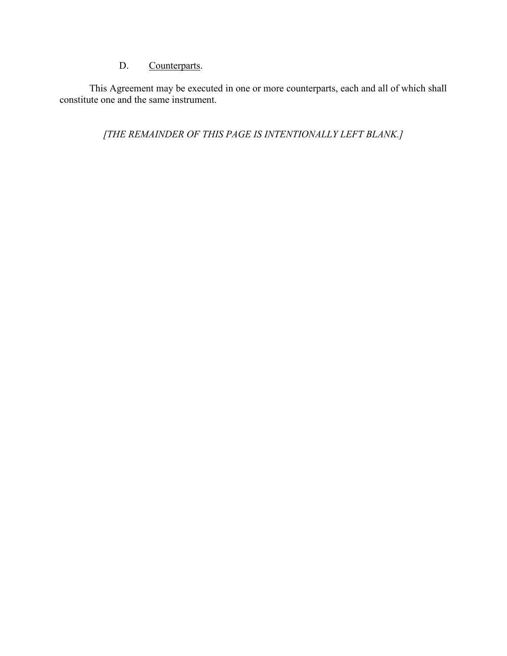# D. Counterparts.

 This Agreement may be executed in one or more counterparts, each and all of which shall constitute one and the same instrument.

*[THE REMAINDER OF THIS PAGE IS INTENTIONALLY LEFT BLANK.]*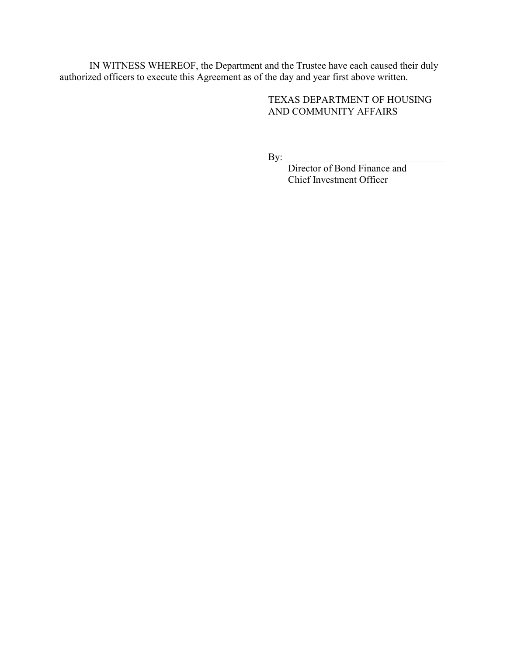IN WITNESS WHEREOF, the Department and the Trustee have each caused their duly authorized officers to execute this Agreement as of the day and year first above written.

> TEXAS DEPARTMENT OF HOUSING AND COMMUNITY AFFAIRS

By: \_\_\_\_\_\_\_\_\_\_\_\_\_\_\_\_\_\_\_\_\_\_\_\_\_\_\_\_\_\_\_\_

 Director of Bond Finance and Chief Investment Officer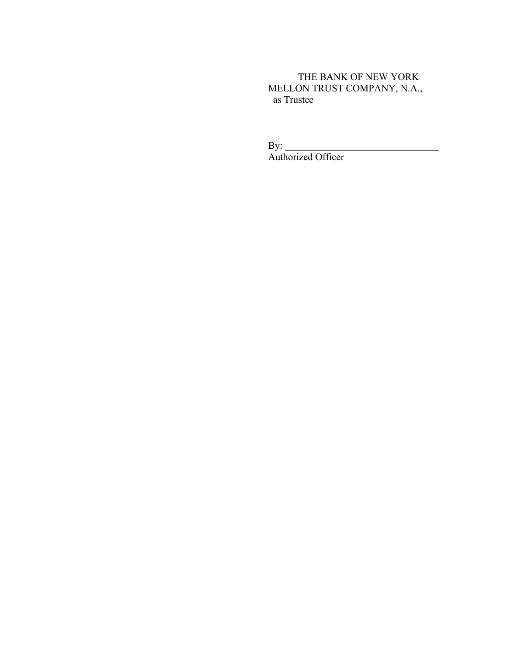THE BANK OF NEW YORK MELLON TRUST COMPANY, N.A., as Trustee

By: \_\_\_\_\_\_\_\_\_\_\_\_\_\_\_\_\_\_\_\_\_\_\_\_\_\_\_\_\_\_\_ Authorized Officer